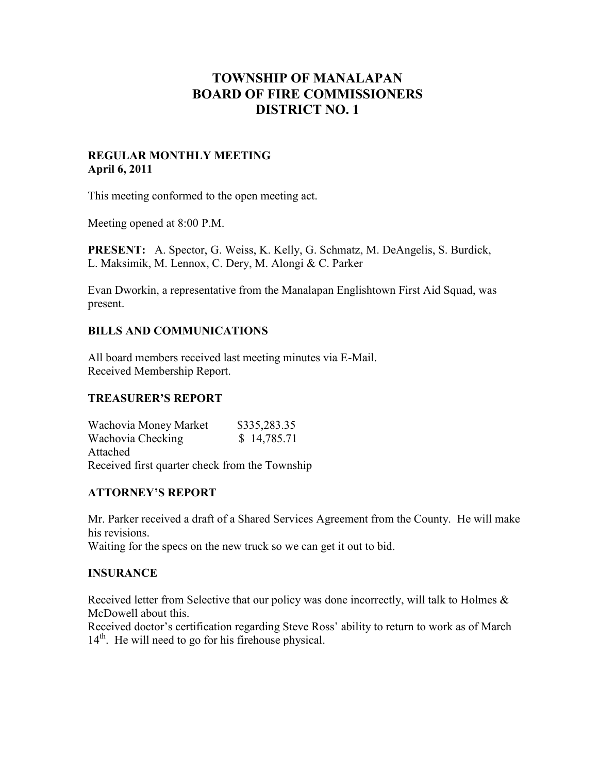# **TOWNSHIP OF MANALAPAN BOARD OF FIRE COMMISSIONERS DISTRICT NO. 1**

#### **REGULAR MONTHLY MEETING April 6, 2011**

This meeting conformed to the open meeting act.

Meeting opened at 8:00 P.M.

**PRESENT:** A. Spector, G. Weiss, K. Kelly, G. Schmatz, M. DeAngelis, S. Burdick, L. Maksimik, M. Lennox, C. Dery, M. Alongi & C. Parker

Evan Dworkin, a representative from the Manalapan Englishtown First Aid Squad, was present.

# **BILLS AND COMMUNICATIONS**

All board members received last meeting minutes via E-Mail. Received Membership Report.

# **TREASURER'S REPORT**

Wachovia Money Market \$335,283.35 Wachovia Checking  $$ 14,785.71$ Attached Received first quarter check from the Township

# **ATTORNEY'S REPORT**

Mr. Parker received a draft of a Shared Services Agreement from the County. He will make his revisions. Waiting for the specs on the new truck so we can get it out to bid.

# **INSURANCE**

Received letter from Selective that our policy was done incorrectly, will talk to Holmes & McDowell about this.

Received doctor's certification regarding Steve Ross' ability to return to work as of March  $14<sup>th</sup>$ . He will need to go for his firehouse physical.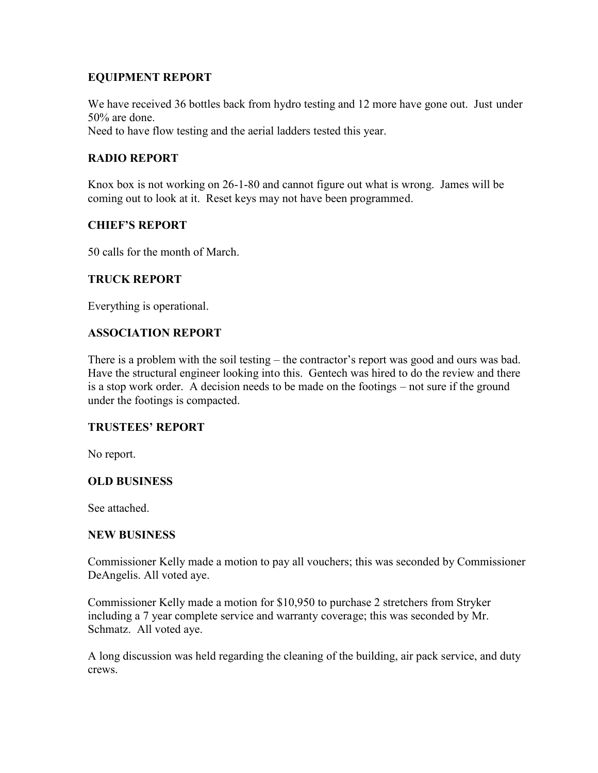# **EQUIPMENT REPORT**

We have received 36 bottles back from hydro testing and 12 more have gone out. Just under 50% are done. Need to have flow testing and the aerial ladders tested this year.

# **RADIO REPORT**

Knox box is not working on 26-1-80 and cannot figure out what is wrong. James will be coming out to look at it. Reset keys may not have been programmed.

# **CHIEF'S REPORT**

50 calls for the month of March.

# **TRUCK REPORT**

Everything is operational.

# **ASSOCIATION REPORT**

There is a problem with the soil testing – the contractor's report was good and ours was bad. Have the structural engineer looking into this. Gentech was hired to do the review and there is a stop work order. A decision needs to be made on the footings – not sure if the ground under the footings is compacted.

# **TRUSTEES' REPORT**

No report.

# **OLD BUSINESS**

See attached.

#### **NEW BUSINESS**

Commissioner Kelly made a motion to pay all vouchers; this was seconded by Commissioner DeAngelis. All voted aye.

Commissioner Kelly made a motion for \$10,950 to purchase 2 stretchers from Stryker including a 7 year complete service and warranty coverage; this was seconded by Mr. Schmatz. All voted aye.

A long discussion was held regarding the cleaning of the building, air pack service, and duty crews.